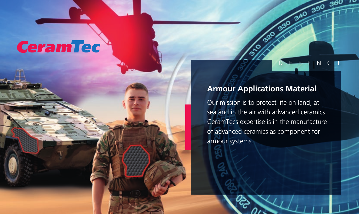# **CeramTec**

## **Armour Applications Material**

DEFENCE

40 350 360 10

Our mission is to protect life on land, at sea and in the air with advanced ceramics. CeramTecs expertise is in the manufacture of advanced ceramics as component for armour systems.